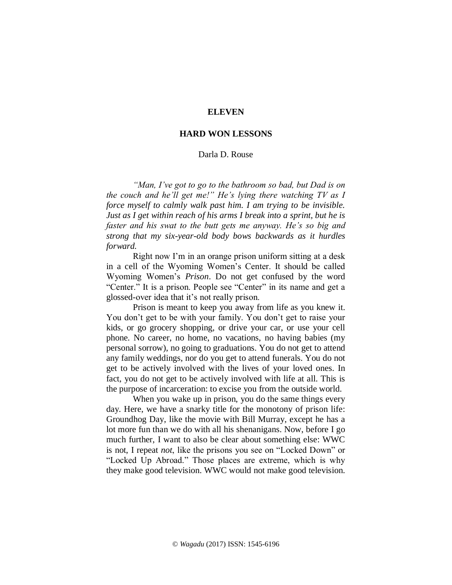## **ELEVEN**

## **HARD WON LESSONS**

## Darla D. Rouse

*"Man, I've got to go to the bathroom so bad, but Dad is on the couch and he'll get me!" He's lying there watching TV as I force myself to calmly walk past him. I am trying to be invisible. Just as I get within reach of his arms I break into a sprint, but he is faster and his swat to the butt gets me anyway. He's so big and strong that my six-year-old body bows backwards as it hurdles forward.*

Right now I'm in an orange prison uniform sitting at a desk in a cell of the Wyoming Women's Center. It should be called Wyoming Women's *Prison*. Do not get confused by the word "Center." It is a prison. People see "Center" in its name and get a glossed-over idea that it's not really prison.

Prison is meant to keep you away from life as you knew it. You don't get to be with your family. You don't get to raise your kids, or go grocery shopping, or drive your car, or use your cell phone. No career, no home, no vacations, no having babies (my personal sorrow), no going to graduations. You do not get to attend any family weddings, nor do you get to attend funerals. You do not get to be actively involved with the lives of your loved ones. In fact, you do not get to be actively involved with life at all. This is the purpose of incarceration: to excise you from the outside world.

When you wake up in prison, you do the same things every day. Here, we have a snarky title for the monotony of prison life: Groundhog Day, like the movie with Bill Murray, except he has a lot more fun than we do with all his shenanigans. Now, before I go much further, I want to also be clear about something else: WWC is not, I repeat *not*, like the prisons you see on "Locked Down" or "Locked Up Abroad." Those places are extreme, which is why they make good television. WWC would not make good television.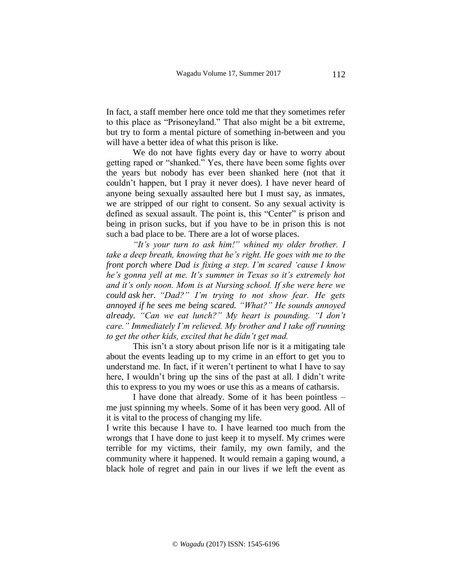In fact, a staff member here once told me that they sometimes refer to this place as "Prisoneyland." That also might be a bit extreme, but try to form a mental picture of something in-between and you will have a better idea of what this prison is like.

We do not have fights every day or have to worry about getting raped or "shanked." Yes, there have been some fights over the years but nobody has ever been shanked here (not that it couldn't happen, but I pray it never does). I have never heard of anyone being sexually assaulted here but I must say, as inmates, we are stripped of our right to consent. So any sexual activity is defined as sexual assault. The point is, this "Center" is prison and being in prison sucks, but if you have to be in prison this is not such a bad place to be. There are a lot of worse places.

*"It's your turn to ask him!" whined my older brother. I take a deep breath, knowing that he's right. He goes with me to the front porch where Dad is fixing a step. I'm scared 'cause I know he's gonna yell at me. It's summer in Texas so it's extremely hot and it's only noon. Mom is at Nursing school. If she were here we could ask her. "Dad?" I'm trying to not show fear. He gets annoyed if he sees me being scared. "What?" He sounds annoyed already. "Can we eat lunch?" My heart is pounding. "I don't care." Immediately I'm relieved. My brother and I take off running to get the other kids, excited that he didn't get mad.* 

This isn't a story about prison life nor is it a mitigating tale about the events leading up to my crime in an effort to get you to understand me. In fact, if it weren't pertinent to what I have to say here, I wouldn't bring up the sins of the past at all. I didn't write this to express to you my woes or use this as a means of catharsis.

I have done that already. Some of it has been pointless – me just spinning my wheels. Some of it has been very good. All of it is vital to the process of changing my life.

I write this because I have to. I have learned too much from the wrongs that I have done to just keep it to myself. My crimes were terrible for my victims, their family, my own family, and the community where it happened. It would remain a gaping wound, a black hole of regret and pain in our lives if we left the event as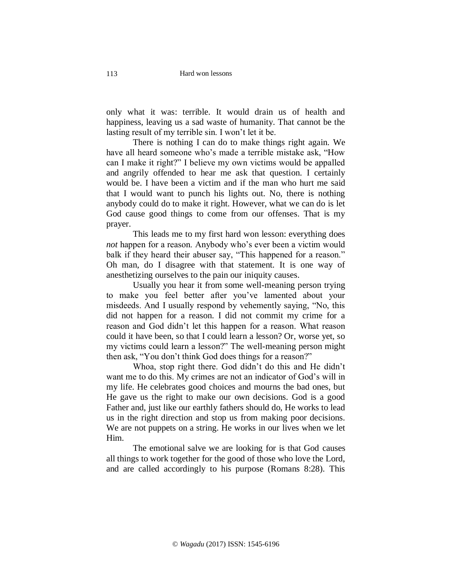only what it was: terrible. It would drain us of health and happiness, leaving us a sad waste of humanity. That cannot be the lasting result of my terrible sin. I won't let it be.

There is nothing I can do to make things right again. We have all heard someone who's made a terrible mistake ask, "How can I make it right?" I believe my own victims would be appalled and angrily offended to hear me ask that question. I certainly would be. I have been a victim and if the man who hurt me said that I would want to punch his lights out. No, there is nothing anybody could do to make it right. However, what we can do is let God cause good things to come from our offenses. That is my prayer.

This leads me to my first hard won lesson: everything does *not* happen for a reason. Anybody who's ever been a victim would balk if they heard their abuser say, "This happened for a reason." Oh man, do I disagree with that statement. It is one way of anesthetizing ourselves to the pain our iniquity causes.

Usually you hear it from some well-meaning person trying to make you feel better after you've lamented about your misdeeds. And I usually respond by vehemently saying, "No, this did not happen for a reason. I did not commit my crime for a reason and God didn't let this happen for a reason. What reason could it have been, so that I could learn a lesson? Or, worse yet, so my victims could learn a lesson?" The well-meaning person might then ask, "You don't think God does things for a reason?"

Whoa, stop right there. God didn't do this and He didn't want me to do this. My crimes are not an indicator of God's will in my life. He celebrates good choices and mourns the bad ones, but He gave us the right to make our own decisions. God is a good Father and, just like our earthly fathers should do, He works to lead us in the right direction and stop us from making poor decisions. We are not puppets on a string. He works in our lives when we let Him.

The emotional salve we are looking for is that God causes all things to work together for the good of those who love the Lord, and are called accordingly to his purpose (Romans 8:28). This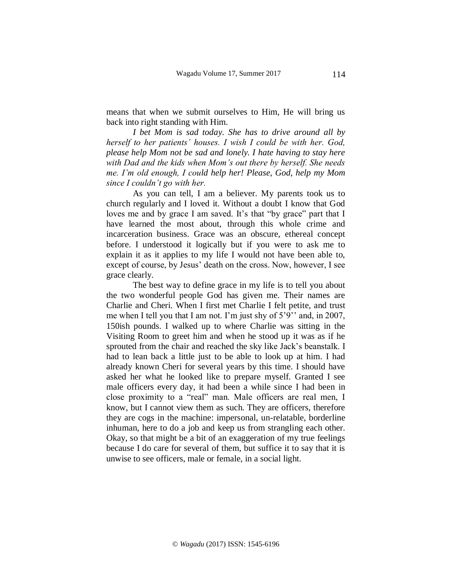means that when we submit ourselves to Him, He will bring us back into right standing with Him.

*I bet Mom is sad today. She has to drive around all by herself to her patients' houses. I wish I could be with her. God, please help Mom not be sad and lonely. I hate having to stay here with Dad and the kids when Mom's out there by herself. She needs me. I'm old enough, I could help her! Please, God, help my Mom since I couldn't go with her.*

As you can tell, I am a believer. My parents took us to church regularly and I loved it. Without a doubt I know that God loves me and by grace I am saved. It's that "by grace" part that I have learned the most about, through this whole crime and incarceration business. Grace was an obscure, ethereal concept before. I understood it logically but if you were to ask me to explain it as it applies to my life I would not have been able to, except of course, by Jesus' death on the cross. Now, however, I see grace clearly.

The best way to define grace in my life is to tell you about the two wonderful people God has given me. Their names are Charlie and Cheri. When I first met Charlie I felt petite, and trust me when I tell you that I am not. I'm just shy of 5'9'' and, in 2007, 150ish pounds. I walked up to where Charlie was sitting in the Visiting Room to greet him and when he stood up it was as if he sprouted from the chair and reached the sky like Jack's beanstalk. I had to lean back a little just to be able to look up at him. I had already known Cheri for several years by this time. I should have asked her what he looked like to prepare myself. Granted I see male officers every day, it had been a while since I had been in close proximity to a "real" man. Male officers are real men, I know, but I cannot view them as such. They are officers, therefore they are cogs in the machine: impersonal, un-relatable, borderline inhuman, here to do a job and keep us from strangling each other. Okay, so that might be a bit of an exaggeration of my true feelings because I do care for several of them, but suffice it to say that it is unwise to see officers, male or female, in a social light.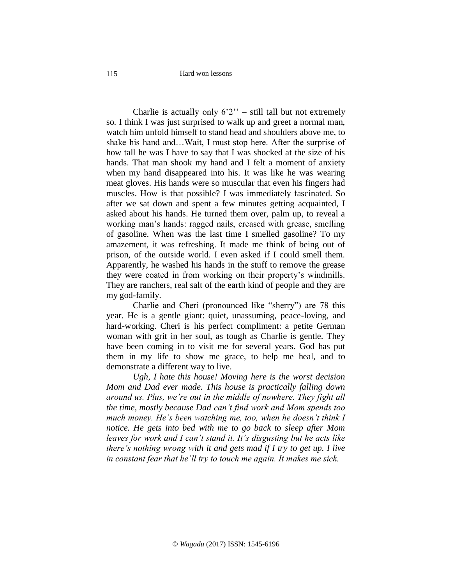Hard won lessons

Charlie is actually only  $6'2''$  – still tall but not extremely so. I think I was just surprised to walk up and greet a normal man, watch him unfold himself to stand head and shoulders above me, to shake his hand and…Wait, I must stop here. After the surprise of how tall he was I have to say that I was shocked at the size of his hands. That man shook my hand and I felt a moment of anxiety when my hand disappeared into his. It was like he was wearing meat gloves. His hands were so muscular that even his fingers had muscles. How is that possible? I was immediately fascinated. So after we sat down and spent a few minutes getting acquainted, I asked about his hands. He turned them over, palm up, to reveal a working man's hands: ragged nails, creased with grease, smelling of gasoline. When was the last time I smelled gasoline? To my amazement, it was refreshing. It made me think of being out of prison, of the outside world. I even asked if I could smell them. Apparently, he washed his hands in the stuff to remove the grease they were coated in from working on their property's windmills. They are ranchers, real salt of the earth kind of people and they are my god-family.

Charlie and Cheri (pronounced like "sherry") are 78 this year. He is a gentle giant: quiet, unassuming, peace-loving, and hard-working. Cheri is his perfect compliment: a petite German woman with grit in her soul, as tough as Charlie is gentle. They have been coming in to visit me for several years. God has put them in my life to show me grace, to help me heal, and to demonstrate a different way to live.

*Ugh, I hate this house! Moving here is the worst decision Mom and Dad ever made. This house is practically falling down around us. Plus, we're out in the middle of nowhere. They fight all the time, mostly because Dad can't find work and Mom spends too much money. He's been watching me, too, when he doesn't think I notice. He gets into bed with me to go back to sleep after Mom leaves for work and I can't stand it. It's disgusting but he acts like there's nothing wrong with it and gets mad if I try to get up. I live in constant fear that he'll try to touch me again. It makes me sick.*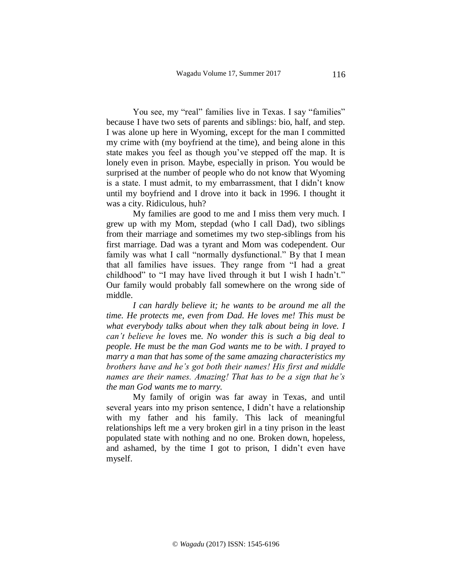You see, my "real" families live in Texas. I say "families" because I have two sets of parents and siblings: bio, half, and step. I was alone up here in Wyoming, except for the man I committed my crime with (my boyfriend at the time), and being alone in this state makes you feel as though you've stepped off the map. It is lonely even in prison. Maybe, especially in prison. You would be surprised at the number of people who do not know that Wyoming is a state. I must admit, to my embarrassment, that I didn't know until my boyfriend and I drove into it back in 1996. I thought it was a city. Ridiculous, huh?

My families are good to me and I miss them very much. I grew up with my Mom, stepdad (who I call Dad), two siblings from their marriage and sometimes my two step-siblings from his first marriage. Dad was a tyrant and Mom was codependent. Our family was what I call "normally dysfunctional." By that I mean that all families have issues. They range from "I had a great childhood" to "I may have lived through it but I wish I hadn't." Our family would probably fall somewhere on the wrong side of middle.

*I can hardly believe it; he wants to be around me all the time. He protects me, even from Dad. He loves me! This must be what everybody talks about when they talk about being in love. I can't believe he loves* me*. No wonder this is such a big deal to people. He must be the man God wants me to be with. I prayed to marry a man that has some of the same amazing characteristics my brothers have and he's got both their names! His first and middle names are their names. Amazing! That has to be a sign that he's the man God wants me to marry.* 

My family of origin was far away in Texas, and until several years into my prison sentence, I didn't have a relationship with my father and his family. This lack of meaningful relationships left me a very broken girl in a tiny prison in the least populated state with nothing and no one. Broken down, hopeless, and ashamed, by the time I got to prison, I didn't even have myself.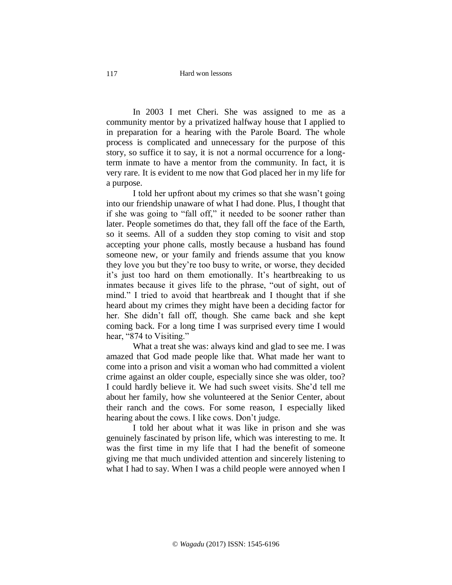In 2003 I met Cheri. She was assigned to me as a community mentor by a privatized halfway house that I applied to in preparation for a hearing with the Parole Board. The whole process is complicated and unnecessary for the purpose of this story, so suffice it to say, it is not a normal occurrence for a longterm inmate to have a mentor from the community. In fact, it is very rare. It is evident to me now that God placed her in my life for a purpose.

I told her upfront about my crimes so that she wasn't going into our friendship unaware of what I had done. Plus, I thought that if she was going to "fall off," it needed to be sooner rather than later. People sometimes do that, they fall off the face of the Earth, so it seems. All of a sudden they stop coming to visit and stop accepting your phone calls, mostly because a husband has found someone new, or your family and friends assume that you know they love you but they're too busy to write, or worse, they decided it's just too hard on them emotionally. It's heartbreaking to us inmates because it gives life to the phrase, "out of sight, out of mind." I tried to avoid that heartbreak and I thought that if she heard about my crimes they might have been a deciding factor for her. She didn't fall off, though. She came back and she kept coming back. For a long time I was surprised every time I would hear, "874 to Visiting."

What a treat she was: always kind and glad to see me. I was amazed that God made people like that. What made her want to come into a prison and visit a woman who had committed a violent crime against an older couple, especially since she was older, too? I could hardly believe it. We had such sweet visits. She'd tell me about her family, how she volunteered at the Senior Center, about their ranch and the cows. For some reason, I especially liked hearing about the cows. I like cows. Don't judge.

I told her about what it was like in prison and she was genuinely fascinated by prison life, which was interesting to me. It was the first time in my life that I had the benefit of someone giving me that much undivided attention and sincerely listening to what I had to say. When I was a child people were annoyed when I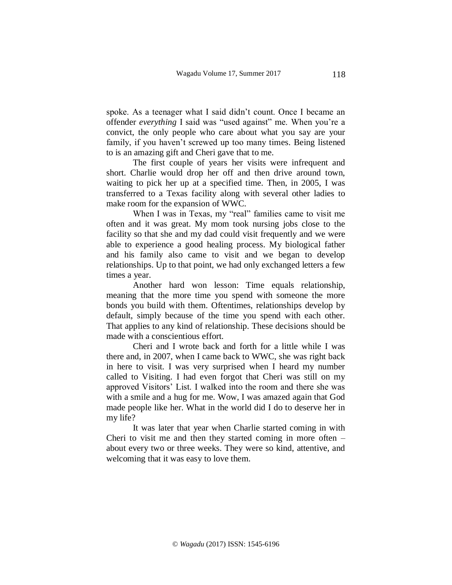spoke. As a teenager what I said didn't count. Once I became an offender *everything* I said was "used against" me. When you're a convict, the only people who care about what you say are your family, if you haven't screwed up too many times. Being listened to is an amazing gift and Cheri gave that to me.

The first couple of years her visits were infrequent and short. Charlie would drop her off and then drive around town, waiting to pick her up at a specified time. Then, in 2005, I was transferred to a Texas facility along with several other ladies to make room for the expansion of WWC.

When I was in Texas, my "real" families came to visit me often and it was great. My mom took nursing jobs close to the facility so that she and my dad could visit frequently and we were able to experience a good healing process. My biological father and his family also came to visit and we began to develop relationships. Up to that point, we had only exchanged letters a few times a year.

Another hard won lesson: Time equals relationship, meaning that the more time you spend with someone the more bonds you build with them. Oftentimes, relationships develop by default, simply because of the time you spend with each other. That applies to any kind of relationship. These decisions should be made with a conscientious effort.

Cheri and I wrote back and forth for a little while I was there and, in 2007, when I came back to WWC, she was right back in here to visit. I was very surprised when I heard my number called to Visiting. I had even forgot that Cheri was still on my approved Visitors' List. I walked into the room and there she was with a smile and a hug for me. Wow, I was amazed again that God made people like her. What in the world did I do to deserve her in my life?

It was later that year when Charlie started coming in with Cheri to visit me and then they started coming in more often – about every two or three weeks. They were so kind, attentive, and welcoming that it was easy to love them.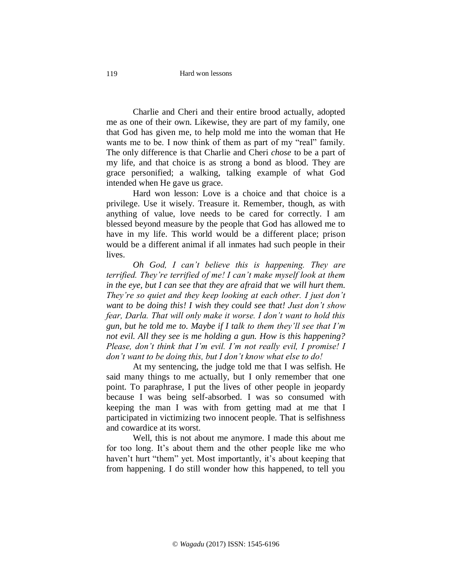Charlie and Cheri and their entire brood actually, adopted me as one of their own. Likewise, they are part of my family, one that God has given me, to help mold me into the woman that He wants me to be. I now think of them as part of my "real" family. The only difference is that Charlie and Cheri *chose* to be a part of my life, and that choice is as strong a bond as blood. They are grace personified; a walking, talking example of what God intended when He gave us grace.

Hard won lesson: Love is a choice and that choice is a privilege. Use it wisely. Treasure it. Remember, though, as with anything of value, love needs to be cared for correctly. I am blessed beyond measure by the people that God has allowed me to have in my life. This world would be a different place; prison would be a different animal if all inmates had such people in their lives.

*Oh God, I can't believe this is happening. They are terrified. They're terrified of me! I can't make myself look at them in the eye, but I can see that they are afraid that we will hurt them. They're so quiet and they keep looking at each other. I just don't want to be doing this! I wish they could see that! Just don't show fear, Darla. That will only make it worse. I don't want to hold this gun, but he told me to. Maybe if I talk to them they'll see that I'm not evil. All they see is me holding a gun. How is this happening? Please, don't think that I'm evil. I'm not really evil, I promise! I don't want to be doing this, but I don't know what else to do!*

At my sentencing, the judge told me that I was selfish. He said many things to me actually, but I only remember that one point. To paraphrase, I put the lives of other people in jeopardy because I was being self-absorbed. I was so consumed with keeping the man I was with from getting mad at me that I participated in victimizing two innocent people. That is selfishness and cowardice at its worst.

Well, this is not about me anymore. I made this about me for too long. It's about them and the other people like me who haven't hurt "them" yet. Most importantly, it's about keeping that from happening. I do still wonder how this happened, to tell you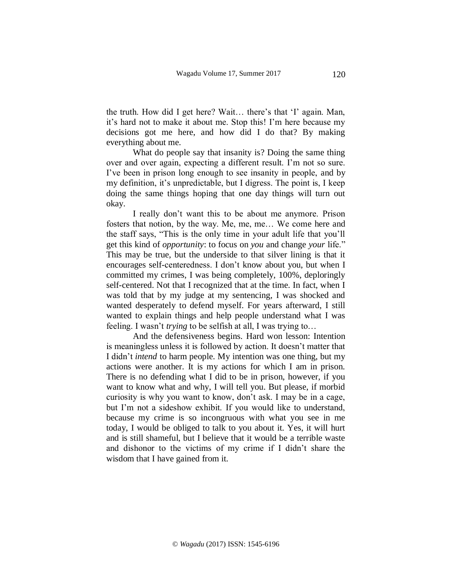the truth. How did I get here? Wait… there's that 'I' again. Man, it's hard not to make it about me. Stop this! I'm here because my decisions got me here, and how did I do that? By making everything about me.

What do people say that insanity is? Doing the same thing over and over again, expecting a different result. I'm not so sure. I've been in prison long enough to see insanity in people, and by my definition, it's unpredictable, but I digress. The point is, I keep doing the same things hoping that one day things will turn out okay.

I really don't want this to be about me anymore. Prison fosters that notion, by the way. Me, me, me… We come here and the staff says, "This is the only time in your adult life that you'll get this kind of *opportunity*: to focus on *you* and change *your* life." This may be true, but the underside to that silver lining is that it encourages self-centeredness. I don't know about you, but when I committed my crimes, I was being completely, 100%, deploringly self-centered. Not that I recognized that at the time. In fact, when I was told that by my judge at my sentencing, I was shocked and wanted desperately to defend myself. For years afterward, I still wanted to explain things and help people understand what I was feeling. I wasn't *trying* to be selfish at all, I was trying to…

And the defensiveness begins. Hard won lesson: Intention is meaningless unless it is followed by action. It doesn't matter that I didn't *intend* to harm people. My intention was one thing, but my actions were another. It is my actions for which I am in prison. There is no defending what I did to be in prison, however, if you want to know what and why, I will tell you. But please, if morbid curiosity is why you want to know, don't ask. I may be in a cage, but I'm not a sideshow exhibit. If you would like to understand, because my crime is so incongruous with what you see in me today, I would be obliged to talk to you about it. Yes, it will hurt and is still shameful, but I believe that it would be a terrible waste and dishonor to the victims of my crime if I didn't share the wisdom that I have gained from it.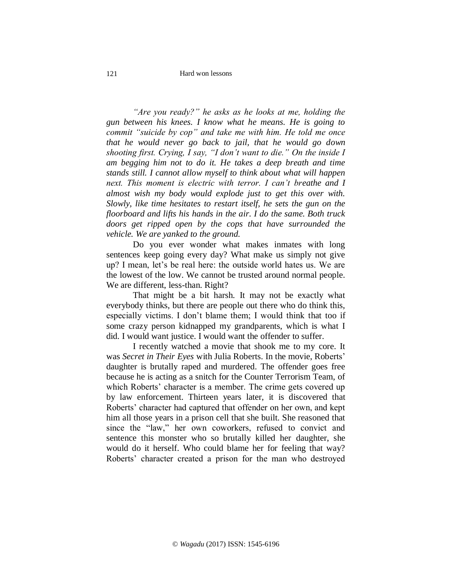*"Are you ready?" he asks as he looks at me, holding the gun between his knees. I know what he means. He is going to commit "suicide by cop" and take me with him. He told me once that he would never go back to jail, that he would go down shooting first. Crying, I say, "I don't want to die." On the inside I am begging him not to do it. He takes a deep breath and time stands still. I cannot allow myself to think about what will happen next. This moment is electric with terror. I can't breathe and I almost wish my body would explode just to get this over with. Slowly, like time hesitates to restart itself, he sets the gun on the floorboard and lifts his hands in the air. I do the same. Both truck doors get ripped open by the cops that have surrounded the vehicle. We are yanked to the ground.*

Do you ever wonder what makes inmates with long sentences keep going every day? What make us simply not give up? I mean, let's be real here: the outside world hates us. We are the lowest of the low. We cannot be trusted around normal people. We are different, less-than. Right?

That might be a bit harsh. It may not be exactly what everybody thinks, but there are people out there who do think this, especially victims. I don't blame them; I would think that too if some crazy person kidnapped my grandparents, which is what I did. I would want justice. I would want the offender to suffer.

I recently watched a movie that shook me to my core. It was *Secret in Their Eyes* with Julia Roberts. In the movie, Roberts' daughter is brutally raped and murdered. The offender goes free because he is acting as a snitch for the Counter Terrorism Team, of which Roberts' character is a member. The crime gets covered up by law enforcement. Thirteen years later, it is discovered that Roberts' character had captured that offender on her own, and kept him all those years in a prison cell that she built. She reasoned that since the "law," her own coworkers, refused to convict and sentence this monster who so brutally killed her daughter, she would do it herself. Who could blame her for feeling that way? Roberts' character created a prison for the man who destroyed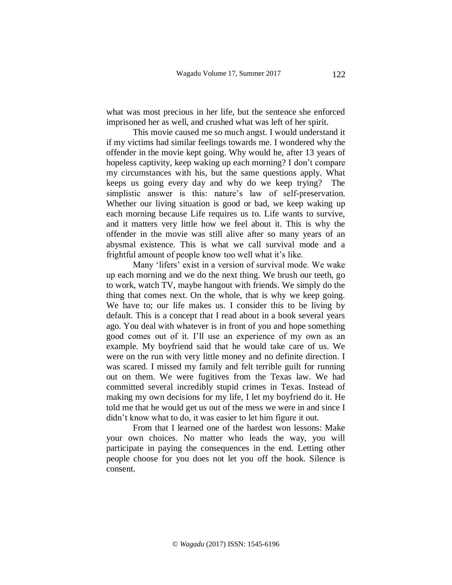what was most precious in her life, but the sentence she enforced imprisoned her as well, and crushed what was left of her spirit.

This movie caused me so much angst. I would understand it if my victims had similar feelings towards me. I wondered why the offender in the movie kept going. Why would he, after 13 years of hopeless captivity, keep waking up each morning? I don't compare my circumstances with his, but the same questions apply. What keeps us going every day and why do we keep trying? The simplistic answer is this: nature's law of self-preservation. Whether our living situation is good or bad, we keep waking up each morning because Life requires us to. Life wants to survive, and it matters very little how we feel about it. This is why the offender in the movie was still alive after so many years of an abysmal existence. This is what we call survival mode and a frightful amount of people know too well what it's like.

Many 'lifers' exist in a version of survival mode. We wake up each morning and we do the next thing. We brush our teeth, go to work, watch TV, maybe hangout with friends. We simply do the thing that comes next. On the whole, that is why we keep going. We have to; our life makes us. I consider this to be living by default. This is a concept that I read about in a book several years ago. You deal with whatever is in front of you and hope something good comes out of it. I'll use an experience of my own as an example. My boyfriend said that he would take care of us. We were on the run with very little money and no definite direction. I was scared. I missed my family and felt terrible guilt for running out on them. We were fugitives from the Texas law. We had committed several incredibly stupid crimes in Texas. Instead of making my own decisions for my life, I let my boyfriend do it. He told me that he would get us out of the mess we were in and since I didn't know what to do, it was easier to let him figure it out.

From that I learned one of the hardest won lessons: Make your own choices. No matter who leads the way, you will participate in paying the consequences in the end. Letting other people choose for you does not let you off the hook. Silence is consent.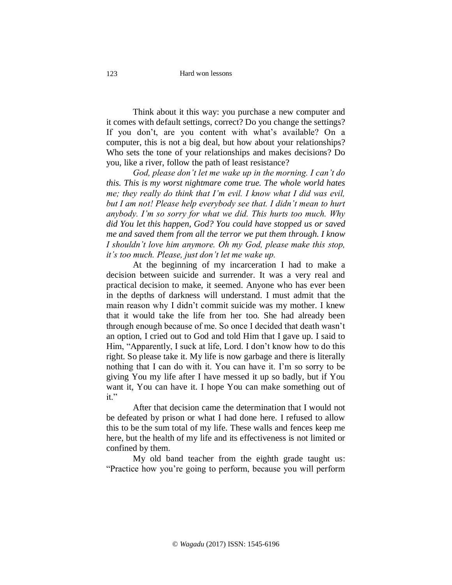Think about it this way: you purchase a new computer and it comes with default settings, correct? Do you change the settings? If you don't, are you content with what's available? On a computer, this is not a big deal, but how about your relationships? Who sets the tone of your relationships and makes decisions? Do you, like a river, follow the path of least resistance?

*God, please don't let me wake up in the morning. I can't do this. This is my worst nightmare come true. The whole world hates me; they really do think that I'm evil. I know what I did was evil, but I am not! Please help everybody see that. I didn't mean to hurt anybody. I'm so sorry for what we did. This hurts too much. Why did You let this happen, God? You could have stopped us or saved me and saved them from all the terror we put them through. I know I shouldn't love him anymore. Oh my God, please make this stop, it's too much. Please, just don't let me wake up.*

At the beginning of my incarceration I had to make a decision between suicide and surrender. It was a very real and practical decision to make, it seemed. Anyone who has ever been in the depths of darkness will understand. I must admit that the main reason why I didn't commit suicide was my mother. I knew that it would take the life from her too. She had already been through enough because of me. So once I decided that death wasn't an option, I cried out to God and told Him that I gave up. I said to Him, "Apparently, I suck at life, Lord. I don't know how to do this right. So please take it. My life is now garbage and there is literally nothing that I can do with it. You can have it. I'm so sorry to be giving You my life after I have messed it up so badly, but if You want it, You can have it. I hope You can make something out of it."

After that decision came the determination that I would not be defeated by prison or what I had done here. I refused to allow this to be the sum total of my life. These walls and fences keep me here, but the health of my life and its effectiveness is not limited or confined by them.

My old band teacher from the eighth grade taught us: "Practice how you're going to perform, because you will perform